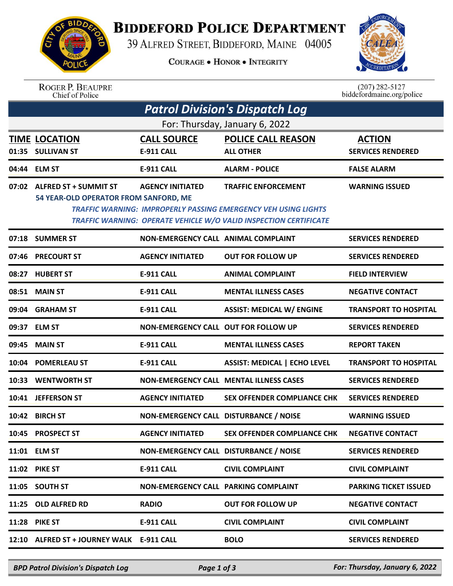

## **BIDDEFORD POLICE DEPARTMENT**

39 ALFRED STREET, BIDDEFORD, MAINE 04005

**COURAGE . HONOR . INTEGRITY** 



ROGER P. BEAUPRE<br>Chief of Police

 $(207)$  282-5127<br>biddefordmaine.org/police

| <b>Patrol Division's Dispatch Log</b><br>For: Thursday, January 6, 2022 |                                                                      |                                             |                                                                                                                                                                                 |                              |  |  |  |  |
|-------------------------------------------------------------------------|----------------------------------------------------------------------|---------------------------------------------|---------------------------------------------------------------------------------------------------------------------------------------------------------------------------------|------------------------------|--|--|--|--|
|                                                                         |                                                                      |                                             |                                                                                                                                                                                 |                              |  |  |  |  |
|                                                                         | 04:44 ELM ST                                                         | <b>E-911 CALL</b>                           | <b>ALARM - POLICE</b>                                                                                                                                                           | <b>FALSE ALARM</b>           |  |  |  |  |
|                                                                         | 07:02 ALFRED ST + SUMMIT ST<br>54 YEAR-OLD OPERATOR FROM SANFORD, ME | <b>AGENCY INITIATED</b>                     | <b>TRAFFIC ENFORCEMENT</b><br><b>TRAFFIC WARNING: IMPROPERLY PASSING EMERGENCY VEH USING LIGHTS</b><br><b>TRAFFIC WARNING: OPERATE VEHICLE W/O VALID INSPECTION CERTIFICATE</b> | <b>WARNING ISSUED</b>        |  |  |  |  |
| 07:18                                                                   | <b>SUMMER ST</b>                                                     | <b>NON-EMERGENCY CALL ANIMAL COMPLAINT</b>  |                                                                                                                                                                                 | <b>SERVICES RENDERED</b>     |  |  |  |  |
| 07:46                                                                   | <b>PRECOURT ST</b>                                                   | <b>AGENCY INITIATED</b>                     | <b>OUT FOR FOLLOW UP</b>                                                                                                                                                        | <b>SERVICES RENDERED</b>     |  |  |  |  |
| 08:27                                                                   | <b>HUBERT ST</b>                                                     | <b>E-911 CALL</b>                           | <b>ANIMAL COMPLAINT</b>                                                                                                                                                         | <b>FIELD INTERVIEW</b>       |  |  |  |  |
| 08:51                                                                   | <b>MAIN ST</b>                                                       | <b>E-911 CALL</b>                           | <b>MENTAL ILLNESS CASES</b>                                                                                                                                                     | <b>NEGATIVE CONTACT</b>      |  |  |  |  |
| 09:04                                                                   | <b>GRAHAM ST</b>                                                     | <b>E-911 CALL</b>                           | <b>ASSIST: MEDICAL W/ ENGINE</b>                                                                                                                                                | <b>TRANSPORT TO HOSPITAL</b> |  |  |  |  |
| 09:37                                                                   | <b>ELM ST</b>                                                        | NON-EMERGENCY CALL OUT FOR FOLLOW UP        |                                                                                                                                                                                 | <b>SERVICES RENDERED</b>     |  |  |  |  |
| 09:45                                                                   | <b>MAIN ST</b>                                                       | <b>E-911 CALL</b>                           | <b>MENTAL ILLNESS CASES</b>                                                                                                                                                     | <b>REPORT TAKEN</b>          |  |  |  |  |
| 10:04                                                                   | <b>POMERLEAU ST</b>                                                  | <b>E-911 CALL</b>                           | <b>ASSIST: MEDICAL   ECHO LEVEL</b>                                                                                                                                             | <b>TRANSPORT TO HOSPITAL</b> |  |  |  |  |
| 10:33                                                                   | <b>WENTWORTH ST</b>                                                  |                                             | <b>NON-EMERGENCY CALL MENTAL ILLNESS CASES</b>                                                                                                                                  | <b>SERVICES RENDERED</b>     |  |  |  |  |
| 10:41                                                                   | <b>JEFFERSON ST</b>                                                  | <b>AGENCY INITIATED</b>                     | <b>SEX OFFENDER COMPLIANCE CHK</b>                                                                                                                                              | <b>SERVICES RENDERED</b>     |  |  |  |  |
| 10:42                                                                   | <b>BIRCH ST</b>                                                      | NON-EMERGENCY CALL DISTURBANCE / NOISE      |                                                                                                                                                                                 | <b>WARNING ISSUED</b>        |  |  |  |  |
| 10:45                                                                   | <b>PROSPECT ST</b>                                                   | <b>AGENCY INITIATED</b>                     | SEX OFFENDER COMPLIANCE CHK                                                                                                                                                     | <b>NEGATIVE CONTACT</b>      |  |  |  |  |
|                                                                         | 11:01 ELM ST                                                         | NON-EMERGENCY CALL DISTURBANCE / NOISE      |                                                                                                                                                                                 | <b>SERVICES RENDERED</b>     |  |  |  |  |
|                                                                         | 11:02 PIKE ST                                                        | <b>E-911 CALL</b>                           | <b>CIVIL COMPLAINT</b>                                                                                                                                                          | <b>CIVIL COMPLAINT</b>       |  |  |  |  |
| 11:05                                                                   | <b>SOUTH ST</b>                                                      | <b>NON-EMERGENCY CALL PARKING COMPLAINT</b> |                                                                                                                                                                                 | <b>PARKING TICKET ISSUED</b> |  |  |  |  |
| 11:25                                                                   | <b>OLD ALFRED RD</b>                                                 | <b>RADIO</b>                                | <b>OUT FOR FOLLOW UP</b>                                                                                                                                                        | <b>NEGATIVE CONTACT</b>      |  |  |  |  |
| 11:28                                                                   | <b>PIKE ST</b>                                                       | <b>E-911 CALL</b>                           | <b>CIVIL COMPLAINT</b>                                                                                                                                                          | <b>CIVIL COMPLAINT</b>       |  |  |  |  |
|                                                                         | 12:10 ALFRED ST + JOURNEY WALK E-911 CALL                            |                                             | <b>BOLO</b>                                                                                                                                                                     | <b>SERVICES RENDERED</b>     |  |  |  |  |
|                                                                         |                                                                      |                                             |                                                                                                                                                                                 |                              |  |  |  |  |

*BPD Patrol Division's Dispatch Log Page 1 of 3 For: Thursday, January 6, 2022*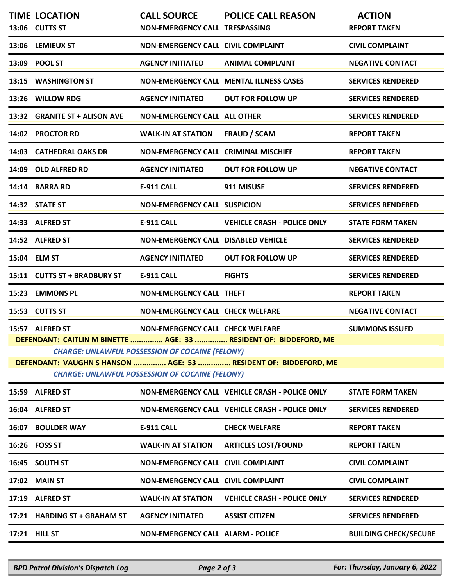|              | <b>TIME LOCATION</b>           | <b>CALL SOURCE</b>                                     | <b>POLICE CALL REASON</b>                                         | <b>ACTION</b>            |
|--------------|--------------------------------|--------------------------------------------------------|-------------------------------------------------------------------|--------------------------|
|              | 13:06 CUTTS ST                 | <b>NON-EMERGENCY CALL TRESPASSING</b>                  |                                                                   | <b>REPORT TAKEN</b>      |
| 13:06        | <b>LEMIEUX ST</b>              | <b>NON-EMERGENCY CALL CIVIL COMPLAINT</b>              |                                                                   | <b>CIVIL COMPLAINT</b>   |
| 13:09        | <b>POOL ST</b>                 | <b>AGENCY INITIATED</b>                                | <b>ANIMAL COMPLAINT</b>                                           | <b>NEGATIVE CONTACT</b>  |
| 13:15        | <b>WASHINGTON ST</b>           |                                                        | <b>NON-EMERGENCY CALL MENTAL ILLNESS CASES</b>                    | <b>SERVICES RENDERED</b> |
|              | 13:26 WILLOW RDG               | <b>AGENCY INITIATED</b>                                | <b>OUT FOR FOLLOW UP</b>                                          | <b>SERVICES RENDERED</b> |
| 13:32        | <b>GRANITE ST + ALISON AVE</b> | <b>NON-EMERGENCY CALL ALL OTHER</b>                    |                                                                   | <b>SERVICES RENDERED</b> |
| 14:02        | <b>PROCTOR RD</b>              | <b>WALK-IN AT STATION</b>                              | <b>FRAUD / SCAM</b>                                               | <b>REPORT TAKEN</b>      |
| 14:03        | <b>CATHEDRAL OAKS DR</b>       | <b>NON-EMERGENCY CALL CRIMINAL MISCHIEF</b>            |                                                                   | <b>REPORT TAKEN</b>      |
| 14:09        | <b>OLD ALFRED RD</b>           | <b>AGENCY INITIATED</b>                                | <b>OUT FOR FOLLOW UP</b>                                          | <b>NEGATIVE CONTACT</b>  |
|              | 14:14 BARRA RD                 | <b>E-911 CALL</b>                                      | 911 MISUSE                                                        | <b>SERVICES RENDERED</b> |
|              | 14:32 STATE ST                 | <b>NON-EMERGENCY CALL SUSPICION</b>                    |                                                                   | <b>SERVICES RENDERED</b> |
|              | 14:33 ALFRED ST                | <b>E-911 CALL</b>                                      | <b>VEHICLE CRASH - POLICE ONLY</b>                                | <b>STATE FORM TAKEN</b>  |
|              | 14:52 ALFRED ST                | <b>NON-EMERGENCY CALL DISABLED VEHICLE</b>             |                                                                   | <b>SERVICES RENDERED</b> |
| 15:04 ELM ST |                                | <b>AGENCY INITIATED</b>                                | <b>OUT FOR FOLLOW UP</b>                                          | <b>SERVICES RENDERED</b> |
|              | 15:11 CUTTS ST + BRADBURY ST   | <b>E-911 CALL</b>                                      | <b>FIGHTS</b>                                                     | <b>SERVICES RENDERED</b> |
| 15:23        | <b>EMMONS PL</b>               | <b>NON-EMERGENCY CALL THEFT</b>                        |                                                                   | <b>REPORT TAKEN</b>      |
|              | 15:53 CUTTS ST                 | <b>NON-EMERGENCY CALL CHECK WELFARE</b>                |                                                                   | <b>NEGATIVE CONTACT</b>  |
|              | 15:57 ALFRED ST                | <b>NON-EMERGENCY CALL CHECK WELFARE</b>                |                                                                   | <b>SUMMONS ISSUED</b>    |
|              |                                |                                                        | DEFENDANT: CAITLIN M BINETTE  AGE: 33  RESIDENT OF: BIDDEFORD, ME |                          |
|              |                                | <b>CHARGE: UNLAWFUL POSSESSION OF COCAINE (FELONY)</b> | DEFENDANT: VAUGHN S HANSON  AGE: 53  RESIDENT OF: BIDDEFORD, ME   |                          |
|              |                                | <b>CHARGE: UNLAWFUL POSSESSION OF COCAINE (FELONY)</b> |                                                                   |                          |
|              | 15:59 ALFRED ST                |                                                        | NON-EMERGENCY CALL VEHICLE CRASH - POLICE ONLY                    | <b>STATE FORM TAKEN</b>  |
|              | 16:04 ALFRED ST                |                                                        | NON-EMERGENCY CALL VEHICLE CRASH - POLICE ONLY                    | <b>SERVICES RENDERED</b> |
| 16:07        | <b>BOULDER WAY</b>             | <b>E-911 CALL</b>                                      | <b>CHECK WELFARE</b>                                              | <b>REPORT TAKEN</b>      |
|              | 16:26 FOSS ST                  | <b>WALK-IN AT STATION</b>                              | <b>ARTICLES LOST/FOUND</b>                                        | <b>REPORT TAKEN</b>      |
| 16:45        | <b>SOUTH ST</b>                | NON-EMERGENCY CALL CIVIL COMPLAINT                     |                                                                   | <b>CIVIL COMPLAINT</b>   |
| 17:02        | <b>MAIN ST</b>                 | NON-EMERGENCY CALL CIVIL COMPLAINT                     |                                                                   | <b>CIVIL COMPLAINT</b>   |
|              | 17:19 ALFRED ST                | <b>WALK-IN AT STATION</b>                              | <b>VEHICLE CRASH - POLICE ONLY</b>                                | <b>SERVICES RENDERED</b> |
|              | 17:21 HARDING ST + GRAHAM ST   | <b>AGENCY INITIATED</b>                                | <b>ASSIST CITIZEN</b>                                             | <b>SERVICES RENDERED</b> |
|              |                                |                                                        |                                                                   |                          |